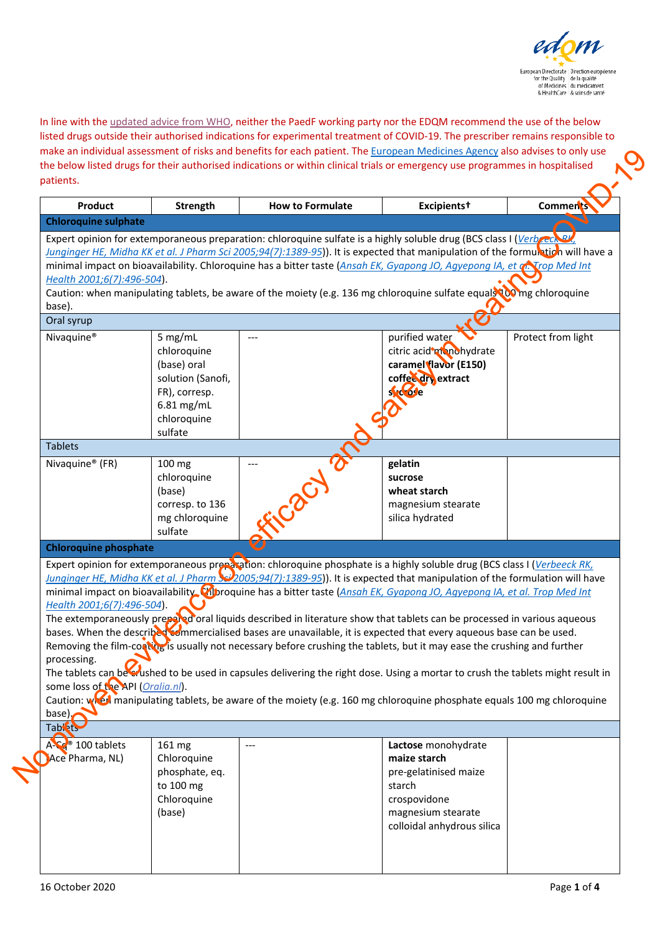

In line with th[e updated advice from WHO,](https://www.who.int/publications/m/item/targeted-update-safety-and-efficacy-of-hydroxychloroquine-or-chloroquine-for-treatment-of-covid-19) neither the PaedF working party nor the EDQM recommend the use of the below listed drugs outside their authorised indications for experimental treatment of COVID-19. The prescriber remains responsible to make an individual assessment of risks and benefits for each patient. Th[e European Medicines Agency](https://www.ema.europa.eu/en/human-regulatory/overview/public-health-threats/coronavirus-disease-covid-19/public-health-advice-during-covid-19-pandemic) also advises to only use the below listed drugs for their authorised indications or within clinical trials or emergency use programmes in hospitalised patients.

| Product                                                                                                        | <b>Strength</b>                                                                                                     | <b>How to Formulate</b> | Excipients <sup>+</sup>                                                                                                                                                                                                                                                                                                                                                                                                                                                                                                                                                                                                                                                                                                                                                                                                                                                                                                                                                                                                         | <b>Comments</b>    |
|----------------------------------------------------------------------------------------------------------------|---------------------------------------------------------------------------------------------------------------------|-------------------------|---------------------------------------------------------------------------------------------------------------------------------------------------------------------------------------------------------------------------------------------------------------------------------------------------------------------------------------------------------------------------------------------------------------------------------------------------------------------------------------------------------------------------------------------------------------------------------------------------------------------------------------------------------------------------------------------------------------------------------------------------------------------------------------------------------------------------------------------------------------------------------------------------------------------------------------------------------------------------------------------------------------------------------|--------------------|
| <b>Chloroquine sulphate</b>                                                                                    |                                                                                                                     |                         |                                                                                                                                                                                                                                                                                                                                                                                                                                                                                                                                                                                                                                                                                                                                                                                                                                                                                                                                                                                                                                 |                    |
| Health 2001;6(7):496-504).                                                                                     |                                                                                                                     |                         | Expert opinion for extemporaneous preparation: chloroquine sulfate is a highly soluble drug (BCS class I (Verbecch BV<br>Junginger HE, Midha KK et al. J Pharm Sci 2005;94(7):1389-95)). It is expected that manipulation of the formulation will have a<br>minimal impact on bioavailability. Chloroquine has a bitter taste (Ansah EK, Gyapong JO, Agyepong IA, et a. Trop Med Int                                                                                                                                                                                                                                                                                                                                                                                                                                                                                                                                                                                                                                            |                    |
|                                                                                                                |                                                                                                                     |                         | Caution: when manipulating tablets, be aware of the moiety (e.g. 136 mg chloroquine sulfate equals to mg chloroquine                                                                                                                                                                                                                                                                                                                                                                                                                                                                                                                                                                                                                                                                                                                                                                                                                                                                                                            |                    |
| base).                                                                                                         |                                                                                                                     |                         |                                                                                                                                                                                                                                                                                                                                                                                                                                                                                                                                                                                                                                                                                                                                                                                                                                                                                                                                                                                                                                 |                    |
| Oral syrup                                                                                                     |                                                                                                                     |                         |                                                                                                                                                                                                                                                                                                                                                                                                                                                                                                                                                                                                                                                                                                                                                                                                                                                                                                                                                                                                                                 |                    |
| Nivaquine <sup>®</sup>                                                                                         | 5 mg/mL<br>chloroquine<br>(base) oral<br>solution (Sanofi,<br>FR), corresp.<br>6.81 mg/mL<br>chloroquine<br>sulfate | $---$                   | purified water<br>citric acid monohydrate<br>caramel flavor (E150)<br>coffee dry extract<br>s rdose                                                                                                                                                                                                                                                                                                                                                                                                                                                                                                                                                                                                                                                                                                                                                                                                                                                                                                                             | Protect from light |
| <b>Tablets</b>                                                                                                 |                                                                                                                     |                         |                                                                                                                                                                                                                                                                                                                                                                                                                                                                                                                                                                                                                                                                                                                                                                                                                                                                                                                                                                                                                                 |                    |
| Nivaquine <sup>®</sup> (FR)                                                                                    | 100 mg<br>chloroquine<br>(base)<br>corresp. to 136<br>mg chloroquine<br>sulfate                                     |                         | gelatin<br>sucrose<br>wheat starch<br>magnesium stearate<br>silica hydrated                                                                                                                                                                                                                                                                                                                                                                                                                                                                                                                                                                                                                                                                                                                                                                                                                                                                                                                                                     |                    |
| <b>Chloroquine phosphate</b>                                                                                   |                                                                                                                     |                         |                                                                                                                                                                                                                                                                                                                                                                                                                                                                                                                                                                                                                                                                                                                                                                                                                                                                                                                                                                                                                                 |                    |
| Health 2001;6(7):496-504).<br>processing.<br>some loss of the API (Oralia.nl).<br>$base)$ .<br><b>Tablet's</b> |                                                                                                                     |                         | Expert opinion for extemporaneous preparation: chloroquine phosphate is a highly soluble drug (BCS class I (Verbeeck RK,<br>Junginger HE, Midha KK et al. J Pharm > 2005;94(7):1389-95)). It is expected that manipulation of the formulation will have<br>minimal impact on bioavailability. Moroquine has a bitter taste (Ansah EK, Gyapong JO, Agyepong IA, et al. Trop Med Int<br>The extemporaneously prepared oral liquids described in literature show that tablets can be processed in various aqueous<br>bases. When the describe commercialised bases are unavailable, it is expected that every aqueous base can be used.<br>Removing the film-coating is usually not necessary before crushing the tablets, but it may ease the crushing and further<br>The tablets can be erushed to be used in capsules delivering the right dose. Using a mortar to crush the tablets might result in<br>Caution: when manipulating tablets, be aware of the moiety (e.g. 160 mg chloroquine phosphate equals 100 mg chloroquine |                    |
| A-Ca® 100 tablets                                                                                              | 161 mg                                                                                                              |                         | Lactose monohydrate                                                                                                                                                                                                                                                                                                                                                                                                                                                                                                                                                                                                                                                                                                                                                                                                                                                                                                                                                                                                             |                    |
| Ace Pharma, NL)                                                                                                | Chloroquine<br>phosphate, eq.<br>to 100 mg<br>Chloroquine<br>(base)                                                 |                         | maize starch<br>pre-gelatinised maize<br>starch<br>crospovidone<br>magnesium stearate<br>colloidal anhydrous silica                                                                                                                                                                                                                                                                                                                                                                                                                                                                                                                                                                                                                                                                                                                                                                                                                                                                                                             |                    |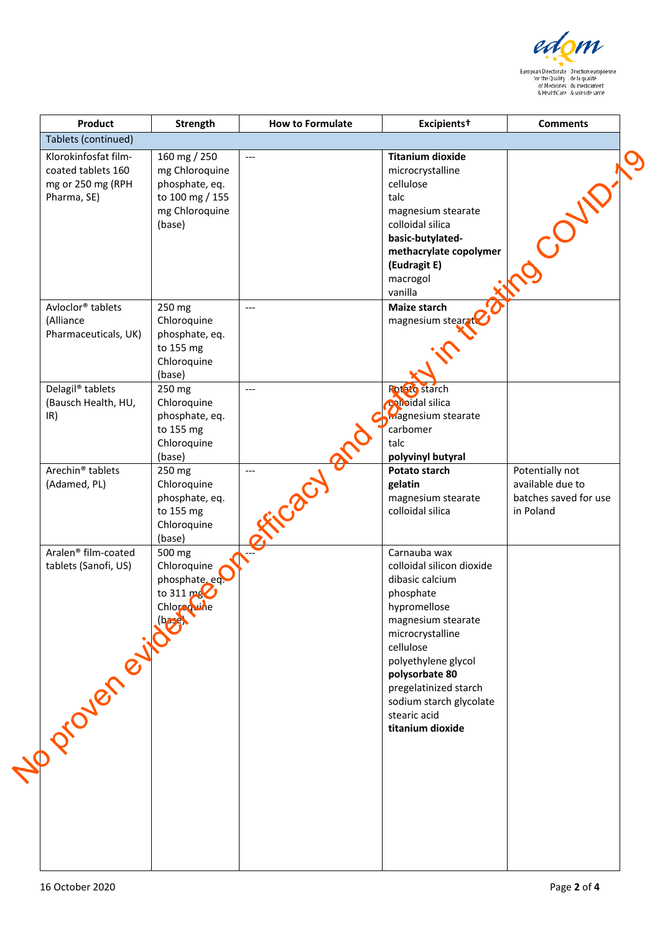

| Product                                                                               | <b>Strength</b>                                                                                 | <b>How to Formulate</b> | Excipients <sup>+</sup>                                                                                                                                                                                                                                       | <b>Comments</b>                                                           |
|---------------------------------------------------------------------------------------|-------------------------------------------------------------------------------------------------|-------------------------|---------------------------------------------------------------------------------------------------------------------------------------------------------------------------------------------------------------------------------------------------------------|---------------------------------------------------------------------------|
| Tablets (continued)                                                                   |                                                                                                 |                         |                                                                                                                                                                                                                                                               |                                                                           |
| Klorokinfosfat film-<br>coated tablets 160<br>mg or 250 mg (RPH<br>Pharma, SE)        | 160 mg / 250<br>mg Chloroquine<br>phosphate, eq.<br>to 100 mg / 155<br>mg Chloroquine<br>(base) | $---$                   | <b>Titanium dioxide</b><br>microcrystalline<br>cellulose<br>talc<br>magnesium stearate<br>colloidal silica<br>basic-butylated-<br>methacrylate copolymer<br>(Eudragit E)                                                                                      |                                                                           |
|                                                                                       |                                                                                                 |                         | macrogol<br>vanilla                                                                                                                                                                                                                                           |                                                                           |
| Avloclor <sup>®</sup> tablets<br>(Alliance<br>Pharmaceuticals, UK)                    | 250 mg<br>Chloroquine<br>phosphate, eq.<br>to 155 mg<br>Chloroquine                             | $---$                   | <b>Maize starch</b><br>magnesium stearzt                                                                                                                                                                                                                      |                                                                           |
|                                                                                       | (base)                                                                                          |                         |                                                                                                                                                                                                                                                               |                                                                           |
| Delagil <sup>®</sup> tablets<br>(Bausch Health, HU,<br>IR)                            | 250 mg<br>Chloroquine<br>phosphate, eq.<br>to 155 mg<br>Chloroquine<br>(base)                   | $---$                   | <b>Foto c</b> starch<br>colloidal silica<br><b>Magnesium stearate</b><br>carbomer<br>talc<br>polyvinyl butyral                                                                                                                                                |                                                                           |
| Arechin <sup>®</sup> tablets<br>(Adamed, PL)                                          | 250 mg<br>Chloroquine<br>phosphate, eq.<br>to 155 mg<br>Chloroquine<br>(base)                   |                         | Potato starch<br>gelatin<br>magnesium stearate<br>colloidal silica                                                                                                                                                                                            | Potentially not<br>available due to<br>batches saved for use<br>in Poland |
| Aralen <sup>®</sup> film-coated<br>tablets (Sanofi, US)<br>No diameter of the chlored | 500 mg<br>Chloroquine<br>phosphate, eq.<br>to 311 mg<br>Chloreowne                              |                         | Carnauba wax<br>colloidal silicon dioxide<br>dibasic calcium<br>phosphate<br>hypromellose<br>magnesium stearate<br>microcrystalline<br>cellulose<br>polyethylene glycol<br>polysorbate 80<br>pregelatinized starch<br>sodium starch glycolate<br>stearic acid |                                                                           |
|                                                                                       |                                                                                                 |                         | titanium dioxide                                                                                                                                                                                                                                              |                                                                           |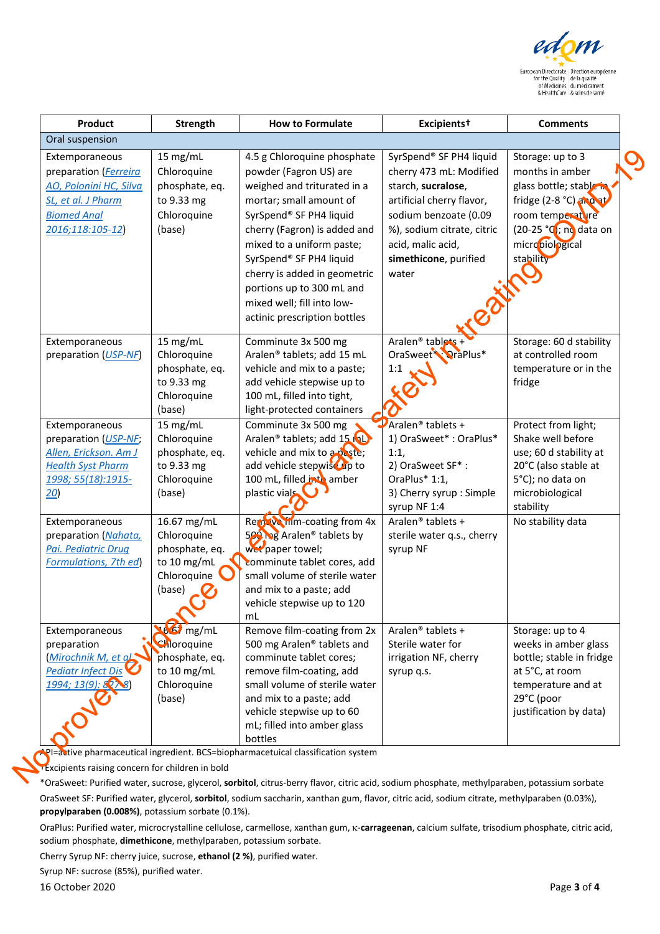

| Product<br>Oral suspension                                                                                                        | <b>Strength</b>                                                                      | <b>How to Formulate</b>                                                                                                                                                                                                                                                                                                                 | Excipients <sup>+</sup>                                                                                                                                                                                                              | <b>Comments</b>                                                                                                                                                        |
|-----------------------------------------------------------------------------------------------------------------------------------|--------------------------------------------------------------------------------------|-----------------------------------------------------------------------------------------------------------------------------------------------------------------------------------------------------------------------------------------------------------------------------------------------------------------------------------------|--------------------------------------------------------------------------------------------------------------------------------------------------------------------------------------------------------------------------------------|------------------------------------------------------------------------------------------------------------------------------------------------------------------------|
|                                                                                                                                   |                                                                                      |                                                                                                                                                                                                                                                                                                                                         |                                                                                                                                                                                                                                      |                                                                                                                                                                        |
| Extemporaneous<br>preparation (Ferreira<br>AO, Polonini HC, Silva<br>SL, et al. J Pharm<br><b>Biomed Anal</b><br>2016;118:105-12) | 15 mg/mL<br>Chloroquine<br>phosphate, eq.<br>to 9.33 mg<br>Chloroquine<br>(base)     | 4.5 g Chloroquine phosphate<br>powder (Fagron US) are<br>weighed and triturated in a<br>mortar; small amount of<br>SyrSpend® SF PH4 liquid<br>cherry (Fagron) is added and<br>mixed to a uniform paste;<br>SyrSpend® SF PH4 liquid<br>cherry is added in geometric<br>portions up to 300 mL and<br>mixed well; fill into low-           | SyrSpend® SF PH4 liquid<br>cherry 473 mL: Modified<br>starch, sucralose,<br>artificial cherry flavor,<br>sodium benzoate (0.09<br>%), sodium citrate, citric<br>acid, malic acid,<br>simethicone, purified<br>water<br>$\mathcal{C}$ | Storage: up to 3<br>months in amber<br>glass bottle; stable in<br>fridge (2-8 °C) and at<br>room temperature<br>(20-25 °C); no data on<br>micropiological<br>stability |
| Extemporaneous<br>preparation (USP-NF)                                                                                            | 15 mg/mL<br>Chloroquine<br>phosphate, eq.<br>to 9.33 mg<br>Chloroquine<br>(base)     | actinic prescription bottles<br>Comminute 3x 500 mg<br>Aralen® tablets; add 15 mL<br>vehicle and mix to a paste;<br>add vehicle stepwise up to<br>100 mL, filled into tight,<br>light-protected containers                                                                                                                              | Aralen <sup>®</sup> tablets<br>OraSweet PraPlus*<br>1:1                                                                                                                                                                              | Storage: 60 d stability<br>at controlled room<br>temperature or in the<br>fridge                                                                                       |
| Extemporaneous<br>preparation (USP-NF,<br>Allen, Erickson. Am J<br><b>Health Syst Pharm</b><br>1998; 55(18):1915-<br>20)          | 15 mg/mL<br>Chloroquine<br>phosphate, eq.<br>to 9.33 mg<br>Chloroquine<br>(base)     | Comminute 3x 500 mg<br>Aralen <sup>®</sup> tablets; add 15 rol<br>vehicle and mix to a paste;<br>add vehicle stepwise up to<br>100 mL, filled is to amber<br>plastic vials                                                                                                                                                              | $\mathbf{\mathcal{P}}$ Aralen® tablets +<br>1) OraSweet*: OraPlus*<br>1:1,<br>2) OraSweet SF*:<br>OraPlus* 1:1,<br>3) Cherry syrup : Simple<br>syrup NF 1:4                                                                          | Protect from light;<br>Shake well before<br>use; 60 d stability at<br>20°C (also stable at<br>5°C); no data on<br>microbiological<br>stability                         |
| Extemporaneous<br>preparation (Nahata,<br>Pai. Pediatric Drug<br><b>Formulations, 7th ed)</b>                                     | 16.67 mg/mL<br>Chloroquine<br>phosphate, eq.<br>to 10 mg/mL<br>Chloroquine<br>(base) | Remove from ecoating from 4x<br>500 hag Aralen <sup>®</sup> tablets by<br>wet paper towel;<br>comminute tablet cores, add<br>small volume of sterile water<br>and mix to a paste; add<br>vehicle stepwise up to 120<br>mL                                                                                                               | Aralen <sup>®</sup> tablets +<br>sterile water q.s., cherry<br>syrup NF                                                                                                                                                              | No stability data                                                                                                                                                      |
| Extemporaneous<br>preparation<br>Mirochnik M, et al.<br><b>Pediatr Infect Dis</b><br>1994; 13(9): 82 8)                           | $166$ mg/mL<br>Chloroquine<br>phosphate, eq.<br>to 10 mg/mL<br>Chloroquine<br>(base) | Remove film-coating from 2x<br>500 mg Aralen® tablets and<br>comminute tablet cores;<br>remove film-coating, add<br>small volume of sterile water<br>and mix to a paste; add<br>vehicle stepwise up to 60<br>mL; filled into amber glass<br>bottles<br>PI=astive pharmaceutical ingredient. BCS=biopharmacetuical classification system | Aralen <sup>®</sup> tablets +<br>Sterile water for<br>irrigation NF, cherry<br>syrup q.s.                                                                                                                                            | Storage: up to 4<br>weeks in amber glass<br>bottle; stable in fridge<br>at 5°C, at room<br>temperature and at<br>29°C (poor<br>justification by data)                  |

\*OraSweet: Purified water, sucrose, glycerol, **sorbitol**, citrus-berry flavor, citric acid, sodium phosphate, methylparaben, potassium sorbate OraSweet SF: Purified water, glycerol, **sorbitol**, sodium saccharin, xanthan gum, flavor, citric acid, sodium citrate, methylparaben (0.03%), **propylparaben (0.008%)**, potassium sorbate (0.1%).

OraPlus: Purified water, microcrystalline cellulose, carmellose, xanthan gum, κ-**carrageenan**, calcium sulfate, trisodium phosphate, citric acid, sodium phosphate, **dimethicone**, methylparaben, potassium sorbate.

Cherry Syrup NF: cherry juice, sucrose, **ethanol (2 %)**, purified water.

Syrup NF: sucrose (85%), purified water.

16 October 2020 Page **3** of **4**